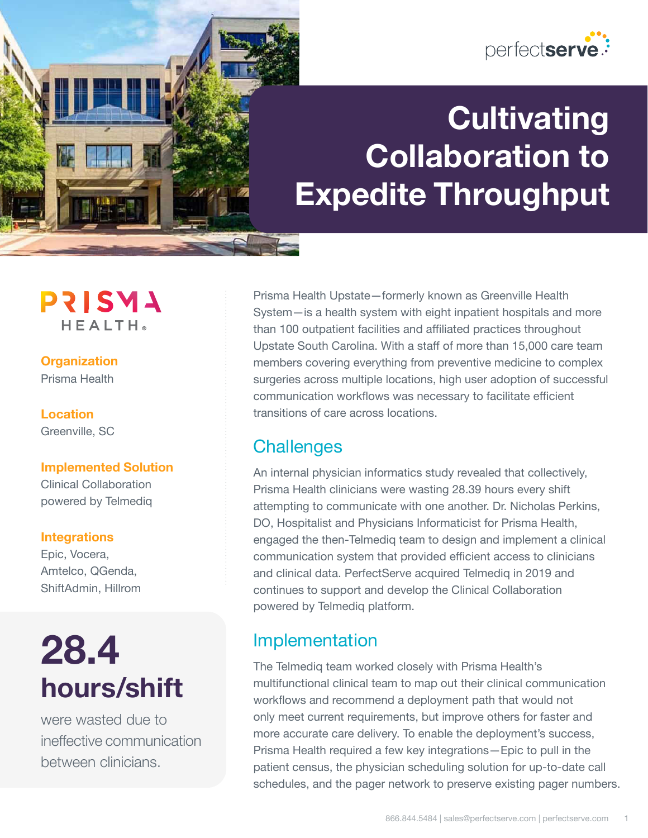

# **Cultivating Collaboration to Expedite Throughput**

**PRISMA HEALTH** 

#### **Organization** Prisma Health

**Location** Greenville, SC

### **Implemented Solution**

Clinical Collaboration powered by Telmediq

### **Integrations**

Epic, Vocera, Amtelco, QGenda, ShiftAdmin, Hillrom

# **28.4 hours/shift**

were wasted due to ineffective communication between clinicians.

Prisma Health Upstate—formerly known as Greenville Health System—is a health system with eight inpatient hospitals and more than 100 outpatient facilities and affiliated practices throughout Upstate South Carolina. With a staff of more than 15,000 care team members covering everything from preventive medicine to complex surgeries across multiple locations, high user adoption of successful communication workflows was necessary to facilitate efficient transitions of care across locations.

## **Challenges**

An internal physician informatics study revealed that collectively, Prisma Health clinicians were wasting 28.39 hours every shift attempting to communicate with one another. Dr. Nicholas Perkins, DO, Hospitalist and Physicians Informaticist for Prisma Health, engaged the then-Telmediq team to design and implement a clinical communication system that provided efficient access to clinicians and clinical data. PerfectServe acquired Telmediq in 2019 and continues to support and develop the Clinical Collaboration powered by Telmediq platform.

## Implementation

The Telmediq team worked closely with Prisma Health's multifunctional clinical team to map out their clinical communication workflows and recommend a deployment path that would not only meet current requirements, but improve others for faster and more accurate care delivery. To enable the deployment's success, Prisma Health required a few key integrations—Epic to pull in the patient census, the physician scheduling solution for up-to-date call schedules, and the pager network to preserve existing pager numbers.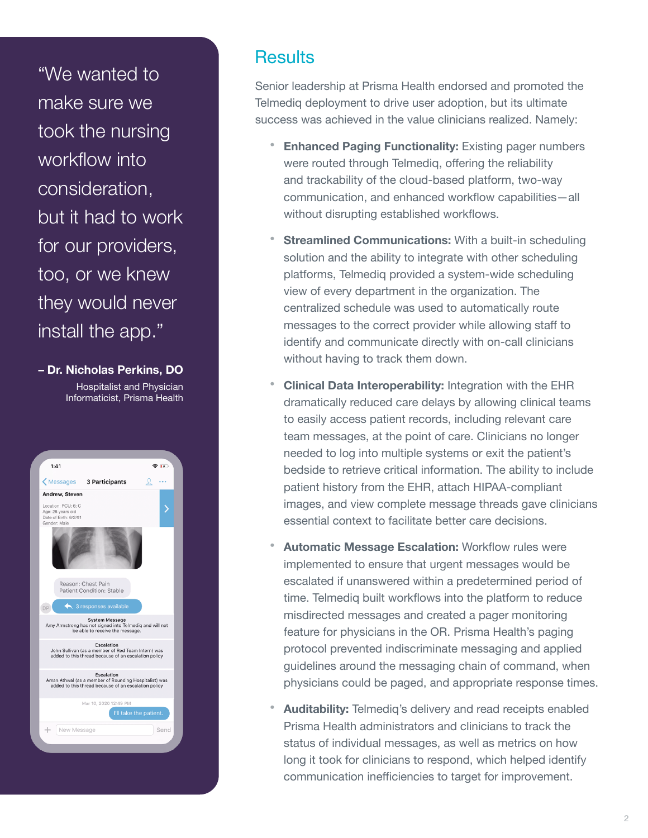"We wanted to make sure we took the nursing workflow into consideration, but it had to work for our providers, too, or we knew they would never install the app."

**– Dr. Nicholas Perkins, DO** Hospitalist and Physician Informaticist, Prisma Health



### **Results**

Senior leadership at Prisma Health endorsed and promoted the Telmediq deployment to drive user adoption, but its ultimate success was achieved in the value clinicians realized. Namely:

- **Enhanced Paging Functionality:** Existing pager numbers were routed through Telmediq, offering the reliability and trackability of the cloud-based platform, two-way communication, and enhanced workflow capabilities—all without disrupting established workflows.
- **Streamlined Communications:** With a built-in scheduling solution and the ability to integrate with other scheduling platforms, Telmediq provided a system-wide scheduling view of every department in the organization. The centralized schedule was used to automatically route messages to the correct provider while allowing staff to identify and communicate directly with on-call clinicians without having to track them down.
- **Clinical Data Interoperability:** Integration with the EHR dramatically reduced care delays by allowing clinical teams to easily access patient records, including relevant care team messages, at the point of care. Clinicians no longer needed to log into multiple systems or exit the patient's bedside to retrieve critical information. The ability to include patient history from the EHR, attach HIPAA-compliant images, and view complete message threads gave clinicians essential context to facilitate better care decisions.
- **Automatic Message Escalation:** Workflow rules were implemented to ensure that urgent messages would be escalated if unanswered within a predetermined period of time. Telmediq built workflows into the platform to reduce misdirected messages and created a pager monitoring feature for physicians in the OR. Prisma Health's paging protocol prevented indiscriminate messaging and applied guidelines around the messaging chain of command, when physicians could be paged, and appropriate response times.
- **Auditability:** Telmediq's delivery and read receipts enabled Prisma Health administrators and clinicians to track the status of individual messages, as well as metrics on how long it took for clinicians to respond, which helped identify communication inefficiencies to target for improvement.